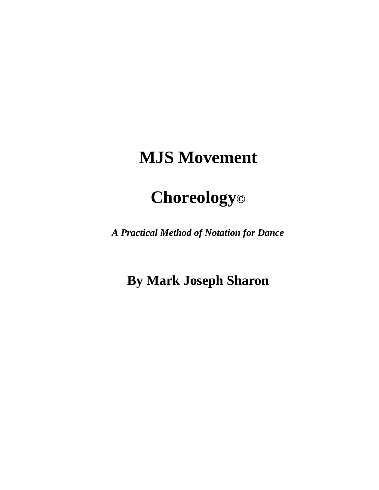# **MJS Movement**

# **Choreology©**

*A Practical Method of Notation for Dance*

**By Mark Joseph Sharon**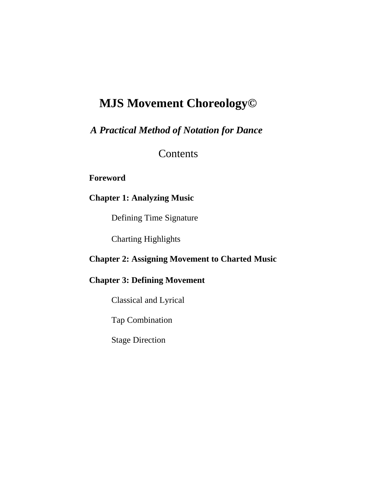# **MJS Movement Choreology©**

*A Practical Method of Notation for Dance* 

**Contents** 

**Foreword**

# **Chapter 1: Analyzing Music**

Defining Time Signature

Charting Highlights

## **Chapter 2: Assigning Movement to Charted Music**

## **Chapter 3: Defining Movement**

Classical and Lyrical

Tap Combination

Stage Direction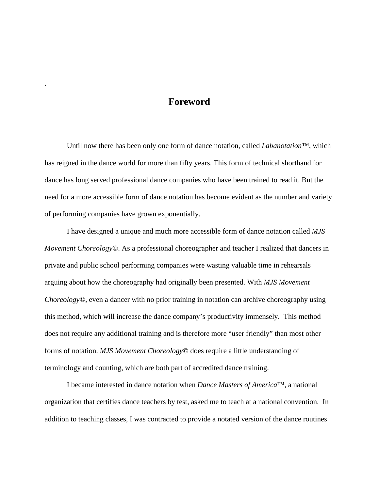# **Foreword**

.

Until now there has been only one form of dance notation, called *Labanotation™*, which has reigned in the dance world for more than fifty years. This form of technical shorthand for dance has long served professional dance companies who have been trained to read it. But the need for a more accessible form of dance notation has become evident as the number and variety of performing companies have grown exponentially.

I have designed a unique and much more accessible form of dance notation called *MJS Movement Choreology*©. As a professional choreographer and teacher I realized that dancers in private and public school performing companies were wasting valuable time in rehearsals arguing about how the choreography had originally been presented. With *MJS Movement Choreology*©, even a dancer with no prior training in notation can archive choreography using this method, which will increase the dance company's productivity immensely. This method does not require any additional training and is therefore more "user friendly" than most other forms of notation. *MJS Movement Choreology*© does require a little understanding of terminology and counting, which are both part of accredited dance training.

I became interested in dance notation when *Dance Masters of America™*, a national organization that certifies dance teachers by test, asked me to teach at a national convention. In addition to teaching classes, I was contracted to provide a notated version of the dance routines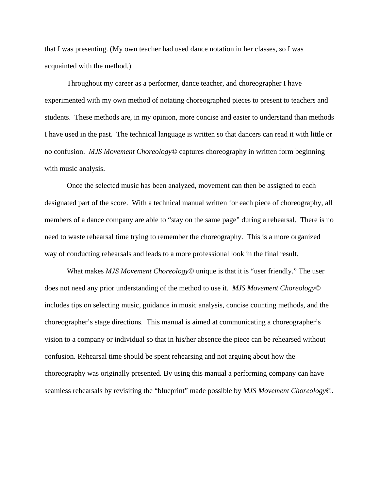that I was presenting. (My own teacher had used dance notation in her classes, so I was acquainted with the method.)

Throughout my career as a performer, dance teacher, and choreographer I have experimented with my own method of notating choreographed pieces to present to teachers and students. These methods are, in my opinion, more concise and easier to understand than methods I have used in the past. The technical language is written so that dancers can read it with little or no confusion. *MJS Movement Choreology*© captures choreography in written form beginning with music analysis.

Once the selected music has been analyzed, movement can then be assigned to each designated part of the score. With a technical manual written for each piece of choreography, all members of a dance company are able to "stay on the same page" during a rehearsal. There is no need to waste rehearsal time trying to remember the choreography. This is a more organized way of conducting rehearsals and leads to a more professional look in the final result.

What makes *MJS Movement Choreology*© unique is that it is "user friendly." The user does not need any prior understanding of the method to use it. *MJS Movement Choreology*© includes tips on selecting music, guidance in music analysis, concise counting methods, and the choreographer's stage directions. This manual is aimed at communicating a choreographer's vision to a company or individual so that in his/her absence the piece can be rehearsed without confusion. Rehearsal time should be spent rehearsing and not arguing about how the choreography was originally presented. By using this manual a performing company can have seamless rehearsals by revisiting the "blueprint" made possible by *MJS Movement Choreology*©.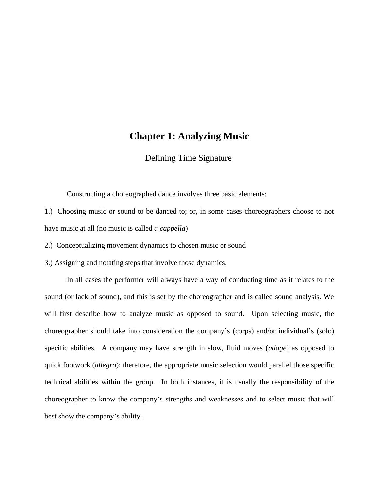### **Chapter 1: Analyzing Music**

Defining Time Signature

Constructing a choreographed dance involves three basic elements:

1.) Choosing music or sound to be danced to; or, in some cases choreographers choose to not have music at all (no music is called *a cappella*)

2.) Conceptualizing movement dynamics to chosen music or sound

3.) Assigning and notating steps that involve those dynamics.

In all cases the performer will always have a way of conducting time as it relates to the sound (or lack of sound), and this is set by the choreographer and is called sound analysis. We will first describe how to analyze music as opposed to sound. Upon selecting music, the choreographer should take into consideration the company's (corps) and/or individual's (solo) specific abilities. A company may have strength in slow, fluid moves (*adage*) as opposed to quick footwork (*allegro*); therefore, the appropriate music selection would parallel those specific technical abilities within the group. In both instances, it is usually the responsibility of the choreographer to know the company's strengths and weaknesses and to select music that will best show the company's ability.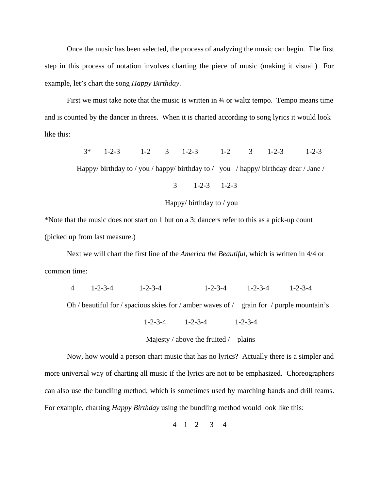Once the music has been selected, the process of analyzing the music can begin. The first step in this process of notation involves charting the piece of music (making it visual.) For example, let's chart the song *Happy Birthday*.

First we must take note that the music is written in  $\frac{3}{4}$  or waltz tempo. Tempo means time and is counted by the dancer in threes. When it is charted according to song lyrics it would look like this:

 3\* 1-2-3 1-2 3 1-2-3 1-2 3 1-2-3 1-2-3 Happy/ birthday to / you / happy/ birthday to / you / happy/ birthday dear / Jane / 3 1-2-3 1-2-3

Happy/ birthday to / you

\*Note that the music does not start on 1 but on a 3; dancers refer to this as a pick-up count (picked up from last measure.)

Next we will chart the first line of the *America the Beautiful*, which is written in 4/4 or common time:

4 1-2-3-4 1-2-3-4 1-2-3-4 1-2-3-4 1-2-3-4

Oh / beautiful for / spacious skies for / amber waves of / grain for / purple mountain's

1-2-3-4 1-2-3-4 1-2-3-4

Majesty / above the fruited  $/$  plains

Now, how would a person chart music that has no lyrics? Actually there is a simpler and more universal way of charting all music if the lyrics are not to be emphasized. Choreographers can also use the bundling method, which is sometimes used by marching bands and drill teams. For example, charting *Happy Birthday* using the bundling method would look like this:

4 1 2 3 4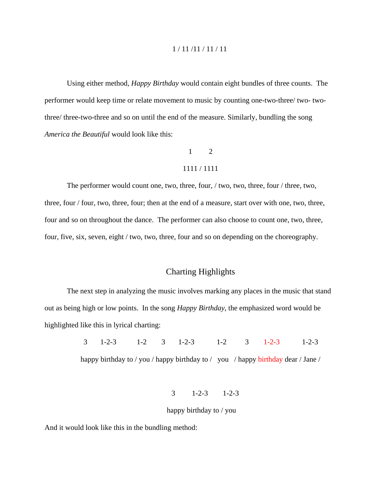#### 1 / 11 /11 / 11 / 11

Using either method, *Happy Birthday* would contain eight bundles of three counts. The performer would keep time or relate movement to music by counting one-two-three/ two- twothree/ three-two-three and so on until the end of the measure. Similarly, bundling the song *America the Beautiful* would look like this:

# 1 2

#### 1111 / 1111

The performer would count one, two, three, four, / two, two, three, four / three, two, three, four / four, two, three, four; then at the end of a measure, start over with one, two, three, four and so on throughout the dance. The performer can also choose to count one, two, three, four, five, six, seven, eight / two, two, three, four and so on depending on the choreography.

#### Charting Highlights

The next step in analyzing the music involves marking any places in the music that stand out as being high or low points. In the song *Happy Birthday*, the emphasized word would be highlighted like this in lyrical charting:

 3 1-2-3 1-2 3 1-2-3 1-2 3 1-2-3 1-2-3 happy birthday to / you / happy birthday to / you / happy birthday dear / Jane /

3 1-2-3 1-2-3

#### happy birthday to / you

And it would look like this in the bundling method: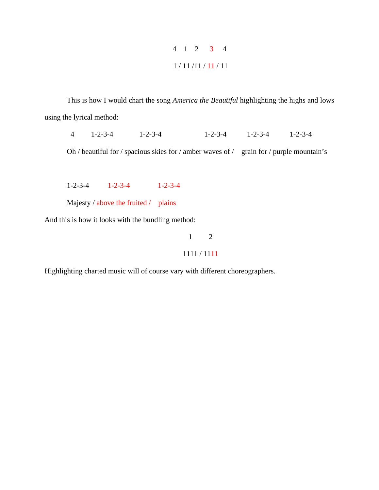# 4 1 2 3 4 1 / 11 /11 / 11 / 11

This is how I would chart the song *America the Beautiful* highlighting the highs and lows using the lyrical method:

4 1-2-3-4 1-2-3-4 1-2-3-4 1-2-3-4 1-2-3-4

Oh / beautiful for / spacious skies for / amber waves of / grain for / purple mountain's

1-2-3-4 1-2-3-4 1-2-3-4

Majesty / above the fruited / plains

And this is how it looks with the bundling method:

# 1 2 1111 / 1111

Highlighting charted music will of course vary with different choreographers.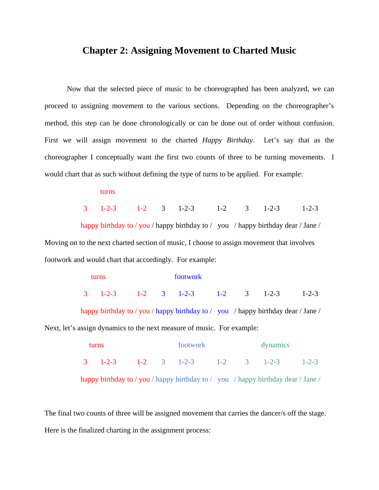### **Chapter 2: Assigning Movement to Charted Music**

Now that the selected piece of music to be choreographed has been analyzed, we can proceed to assigning movement to the various sections. Depending on the choreographer's method, this step can be done chronologically or can be done out of order without confusion. First we will assign movement to the charted *Happy Birthday*. Let's say that as the choreographer I conceptually want the first two counts of three to be turning movements. I would chart that as such without defining the type of turns to be applied. For example:

turns

3 1-2-3 1-2 3 1-2-3 1-2 3 1-2-3 1-2-3

happy birthday to / you / happy birthday to / you / happy birthday dear / Jane / Moving on to the next charted section of music, I choose to assign movement that involves footwork and would chart that accordingly. For example:

|  | furns. |  | footwork                                                        |  |  |
|--|--------|--|-----------------------------------------------------------------|--|--|
|  |        |  | $3 \t 1-2-3 \t 1-2 \t 3 \t 1-2-3 \t 1-2 \t 3 \t 1-2-3 \t 1-2-3$ |  |  |

happy birthday to / you / happy birthday to / you / happy birthday dear / Jane / Next, let's assign dynamics to the next measure of music. For example:

| turns |  |  |  | footwork                                                                         |  |  | dynamics |  |  |
|-------|--|--|--|----------------------------------------------------------------------------------|--|--|----------|--|--|
|       |  |  |  | $3 \t 1-2-3 \t 1-2 \t 3 \t 1-2-3 \t 1-2 \t 3 \t 1-2-3 \t 1-2-3$                  |  |  |          |  |  |
|       |  |  |  | happy birthday to / you / happy birthday to / you / happy birthday dear / Jane / |  |  |          |  |  |

The final two counts of three will be assigned movement that carries the dancer/s off the stage. Here is the finalized charting in the assignment process: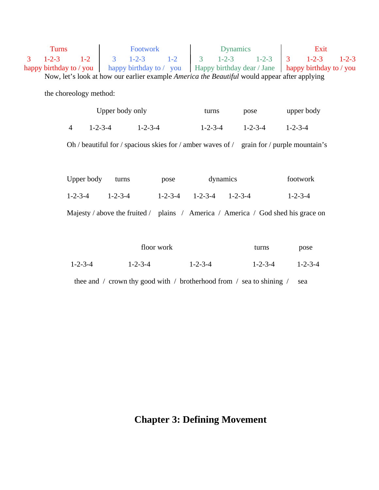Turns Footwork Dynamics Exit 3 1-2-3 1-2 3 1-2-3 1-2 3 1-2-3 1-2-3 3 1-2-3 1-2-3 happy birthday to / you happy birthday to / you Happy birthday dear / Jane happy birthday to / you Now, let's look at how our earlier example *America the Beautiful* would appear after applying

the choreology method:

| Upper body only |                 | turns           | pose            | upper body      |
|-----------------|-----------------|-----------------|-----------------|-----------------|
| $1 - 2 - 3 - 4$ | $1 - 2 - 3 - 4$ | $1 - 2 - 3 - 4$ | $1 - 2 - 3 - 4$ | $1 - 2 - 3 - 4$ |

Oh / beautiful for / spacious skies for / amber waves of / grain for / purple mountain's

| Upper body turns |                   | pose | dynamics                | footwork                                                                         |
|------------------|-------------------|------|-------------------------|----------------------------------------------------------------------------------|
|                  | $1-2-3-4$ 1-2-3-4 |      | 1-2-3-4 1-2-3-4 1-2-3-4 | $1 - 2 - 3 - 4$                                                                  |
|                  |                   |      |                         | Majesty / above the fruited / plains / America / America / God shed his grace on |

|                 | floor work      |                 | turns           | pose            |
|-----------------|-----------------|-----------------|-----------------|-----------------|
| $1 - 2 - 3 - 4$ | $1 - 2 - 3 - 4$ | $1 - 2 - 3 - 4$ | $1 - 2 - 3 - 4$ | $1 - 2 - 3 - 4$ |

thee and  $\prime$  crown thy good with  $\prime$  brotherhood from  $\prime$  sea to shining  $\prime$  sea

# **Chapter 3: Defining Movement**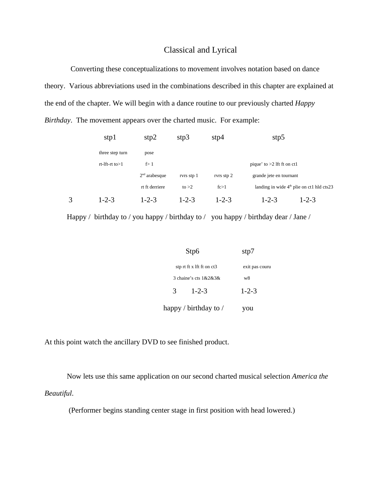#### Classical and Lyrical

 Converting these conceptualizations to movement involves notation based on dance theory. Various abbreviations used in the combinations described in this chapter are explained at the end of the chapter. We will begin with a dance routine to our previously charted *Happy Birthday*. The movement appears over the charted music. For example:

|   | stp1                 | stp2            | stp3        | stp4        | stp5                                        |  |
|---|----------------------|-----------------|-------------|-------------|---------------------------------------------|--|
|   | three step turn      | pose            |             |             |                                             |  |
|   | $rt$ -lft-rt to $>1$ | f > 1           |             |             | pique' to $>2$ lft ft on ct1                |  |
|   |                      | $2nd$ arabesque | rvrs stp 1  | rvrs stp 2  | grande jete en tournant                     |  |
|   |                      | rt ft derriere  | to $>2$     | fc>1        | landing in wide $4th$ plie on ct1 hld cts23 |  |
| 3 | $1 - 2 - 3$          | $1 - 2 - 3$     | $1 - 2 - 3$ | $1 - 2 - 3$ | $1 - 2 - 3$<br>$1 - 2 - 3$                  |  |

Happy / birthday to / you happy / birthday to / you happy / birthday dear / Jane /

| Stp6                        | stp7           |
|-----------------------------|----------------|
| stp rt ft x lft ft on $ct3$ | exit pas couru |
| 3 chaine's cts $1&2&3&8$    | w8             |
| 3<br>$1 - 2 - 3$            | $1 - 2 - 3$    |
| happy / birthday to /       | you            |

At this point watch the ancillary DVD to see finished product.

Now lets use this same application on our second charted musical selection *America the Beautiful*.

(Performer begins standing center stage in first position with head lowered.)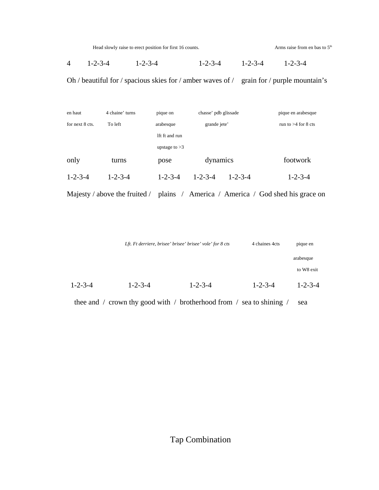Head slowly raise to erect position for first 16 counts. Arms raise from en bas to 5<sup>th</sup>

4 1-2-3-4 1-2-3-4 1-2-3-4 1-2-3-4 1-2-3-4

Oh / beautiful for / spacious skies for / amber waves of / grain for / purple mountain's

| en haut         | 4 chaine' turns | pique on        | chasse' pdb glissade |                 | pique en arabesque    |
|-----------------|-----------------|-----------------|----------------------|-----------------|-----------------------|
| for next 8 cts. | To left         | arabesque       | grande jete'         |                 | run to $>4$ for 8 cts |
|                 |                 | lft ft and run  |                      |                 |                       |
|                 |                 | upstage to $>3$ |                      |                 |                       |
| only            | turns           | pose            | dynamics             |                 | footwork              |
| $1 - 2 - 3 - 4$ | $1 - 2 - 3 - 4$ | $1 - 2 - 3 - 4$ | $1 - 2 - 3 - 4$      | $1 - 2 - 3 - 4$ | $1 - 2 - 3 - 4$       |

Majesty / above the fruited / plains / America / America / God shed his grace on

|                 |                 | Lft. Ft derriere, brisee' brisee' brisee' vole' for 8 cts | 4 chaines 4cts  | pique en        |
|-----------------|-----------------|-----------------------------------------------------------|-----------------|-----------------|
|                 |                 |                                                           |                 | arabesque       |
|                 |                 |                                                           |                 | to W8 exit      |
| $1 - 2 - 3 - 4$ | $1 - 2 - 3 - 4$ | $1 - 2 - 3 - 4$                                           | $1 - 2 - 3 - 4$ | $1 - 2 - 3 - 4$ |

thee and / crown thy good with / brotherhood from / sea to shining / sea

Tap Combination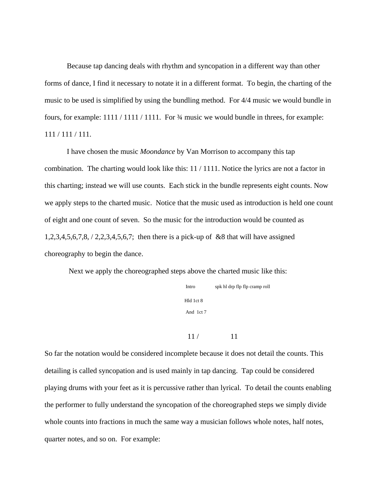Because tap dancing deals with rhythm and syncopation in a different way than other forms of dance, I find it necessary to notate it in a different format. To begin, the charting of the music to be used is simplified by using the bundling method. For 4/4 music we would bundle in fours, for example:  $1111 / 1111 / 1111$ . For  $\frac{3}{4}$  music we would bundle in threes, for example: 111 / 111 / 111.

I have chosen the music *Moondance* by Van Morrison to accompany this tap combination. The charting would look like this: 11 / 1111. Notice the lyrics are not a factor in this charting; instead we will use counts. Each stick in the bundle represents eight counts. Now we apply steps to the charted music. Notice that the music used as introduction is held one count of eight and one count of seven. So the music for the introduction would be counted as 1,2,3,4,5,6,7,8, / 2,2,3,4,5,6,7; then there is a pick-up of &8 that will have assigned choreography to begin the dance.

Next we apply the choreographed steps above the charted music like this:

 Intro spk hl drp flp flp cramp roll Hld 1ct 8 And 1ct 7

 $11 / 11$ 

So far the notation would be considered incomplete because it does not detail the counts. This detailing is called syncopation and is used mainly in tap dancing. Tap could be considered playing drums with your feet as it is percussive rather than lyrical. To detail the counts enabling the performer to fully understand the syncopation of the choreographed steps we simply divide whole counts into fractions in much the same way a musician follows whole notes, half notes, quarter notes, and so on. For example: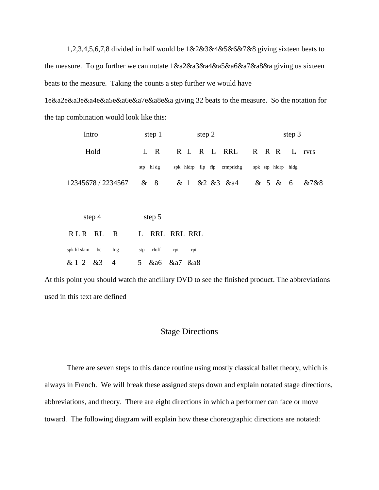1,2,3,4,5,6,7,8 divided in half would be 1&2&3&4&5&6&7&8 giving sixteen beats to the measure. To go further we can notate 1&a2&a3&a4&a5&a6&a7&a8&a giving us sixteen beats to the measure. Taking the counts a step further we would have

1e&a2e&a3e&a4e&a5e&a6e&a7e&a8e&a giving 32 beats to the measure. So the notation for the tap combination would look like this:

| Intro | step 1    | step 2                                         | step 3        |
|-------|-----------|------------------------------------------------|---------------|
| Hold  | L R       | R L R L RRL R R R L rvrs                       |               |
|       | stp hl dg | spk hldrp flp flp crmprlchg spk stp hldrp hldg |               |
|       |           | 12345678/2234567 & 8 & 1 & 2 & 3 & a4          | & 5 & 6 & 7&8 |

|                | step $4$ |     | step 5           |     |     |
|----------------|----------|-----|------------------|-----|-----|
| RLR RL R       |          |     | L RRL RRL RRL    |     |     |
| spk hl slam bc |          | lng | stp rloff        | rpt | rpt |
| & 1 2 & 3 4    |          |     | 5 & a6 & a7 & a8 |     |     |

At this point you should watch the ancillary DVD to see the finished product. The abbreviations used in this text are defined

### Stage Directions

There are seven steps to this dance routine using mostly classical ballet theory, which is always in French. We will break these assigned steps down and explain notated stage directions, abbreviations, and theory. There are eight directions in which a performer can face or move toward. The following diagram will explain how these choreographic directions are notated: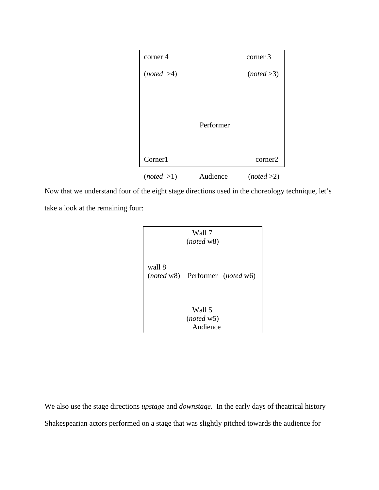| corner 4   |           | corner 3   |
|------------|-----------|------------|
| (noted >4) |           | (noted >3) |
|            |           |            |
|            |           |            |
|            | Performer |            |
|            |           |            |
| Corner1    |           | corner2    |
|            |           |            |
| (noted >1) | Audience  | (noted >2) |

Now that we understand four of the eight stage directions used in the choreology technique, let's take a look at the remaining four:



We also use the stage directions *upstage* and *downstage.* In the early days of theatrical history Shakespearian actors performed on a stage that was slightly pitched towards the audience for